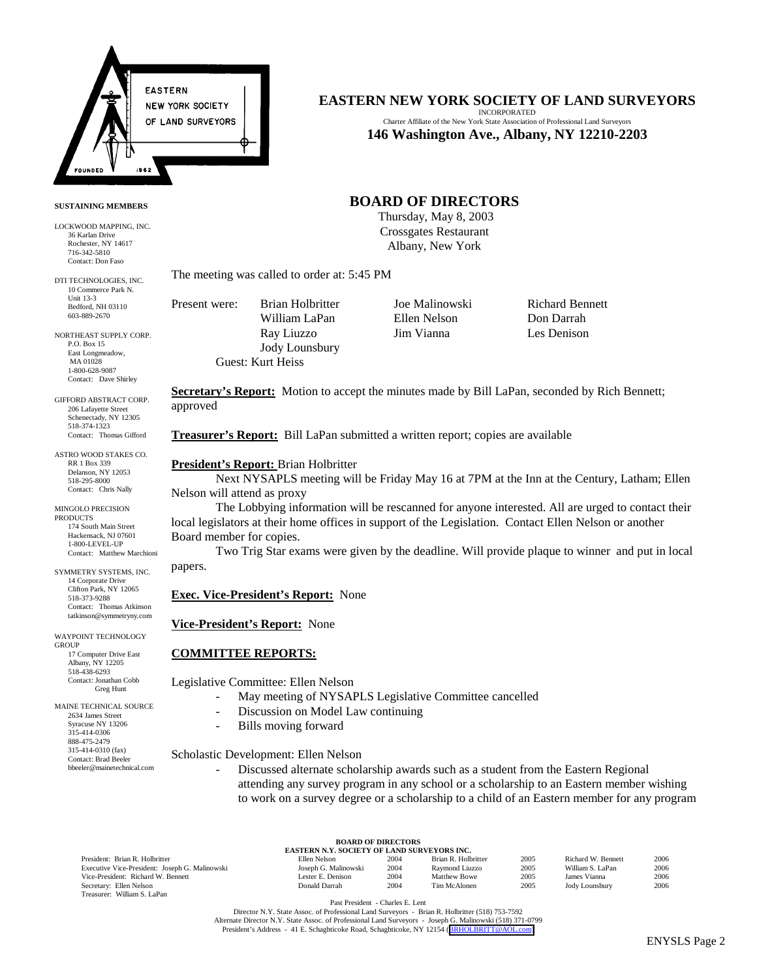

### **SUSTAINING MEMBERS**

LOCKWOOD MAPPING, INC. 36 Karlan Drive Rochester, NY 14617 716-342-5810 Contact: Don Faso

DTI TECHNOLOGIES, INC. 10 Commerce Park N. Unit 13-3 Bedford, NH 03110 603-889-2670

NORTHEAST SUPPLY CORP. P.O. Box 15 East Longmeadow, MA 01028 1-800-628-9087 Contact: Dave Shirley

GIFFORD ABSTRACT CORP. 206 Lafayette Street Schenectady, NY 12305 518-374-1323 Contact: Thomas Gifford

ASTRO WOOD STAKES CO. RR 1 Box 339 Delanson, NY 12053 518-295-8000 Contact: Chris Nally

MINGOLO PRECISION PRODUCTS 174 South Main Street Hackensack, NJ 07601 1-800-LEVEL-UP Contact: Matthew Marchioni

SYMMETRY SYSTEMS, INC. 14 Corporate Drive Clifton Park, NY 12065 518-373-9288 Contact: Thomas Atkinson tatkinson@symmetryny.com

WAYPOINT TECHNOLOGY **GROUP**  17 Computer Drive East Albany, NY 12205 518-438-6293 Contact: Jonathan Cobb Greg Hunt

MAINE TECHNICAL SOURCE 2634 James Street Syracuse NY 13206 315-414-0306 888-475-2479 315-414-0310 (fax) Contact: Brad Beeler bbeeler@mainetechnical.com

# **EASTERN NEW YORK SOCIETY OF LAND SURVEYORS**

INCORPORATED Charter Affiliate of the New York State Association of Professional Land Surveyors **146 Washington Ave., Albany, NY 12210-2203**

# **BOARD OF DIRECTORS**

 Thursday, May 8, 2003 Crossgates Restaurant Albany, New York

The meeting was called to order at: 5:45 PM

Present were: Brian Holbritter Joe Malinowski Richard Bennett William LaPan Ellen Nelson Don Darrah Ray Liuzzo Jim Vianna Les Denison Jody Lounsbury Guest: Kurt Heiss

**Secretary's Report:** Motion to accept the minutes made by Bill LaPan, seconded by Rich Bennett; approved

**Treasurer's Report:** Bill LaPan submitted a written report; copies are available

### **President's Report:** Brian Holbritter

Next NYSAPLS meeting will be Friday May 16 at 7PM at the Inn at the Century, Latham; Ellen Nelson will attend as proxy

The Lobbying information will be rescanned for anyone interested. All are urged to contact their local legislators at their home offices in support of the Legislation. Contact Ellen Nelson or another Board member for copies.

Two Trig Star exams were given by the deadline. Will provide plaque to winner and put in local papers.

### **Exec. Vice-President's Report:** None

### **Vice-President's Report:** None

### **COMMITTEE REPORTS:**

Legislative Committee: Ellen Nelson

- May meeting of NYSAPLS Legislative Committee cancelled
- Discussion on Model Law continuing
- Bills moving forward

Scholastic Development: Ellen Nelson

Discussed alternate scholarship awards such as a student from the Eastern Regional attending any survey program in any school or a scholarship to an Eastern member wishing to work on a survey degree or a scholarship to a child of an Eastern member for any program

President: Brian R. Holbritter Executive Vice-President: Joseph G. Malinowski Vice-President: Richard W. Bennett Secretary: Ellen Nelson Treasurer: William S. LaPan

| <b>BOARD OF DIRECTORS</b> |                                             |  |  |                                                                         |  |  |  |
|---------------------------|---------------------------------------------|--|--|-------------------------------------------------------------------------|--|--|--|
|                           | EASTERN N.Y. SOCIETY OF LAND SURVEYORS INC. |  |  |                                                                         |  |  |  |
|                           |                                             |  |  | <b>The figure 11 The Telephone 11 The Telephone 11 The Telephone 11</b> |  |  |  |

|          | Ellen Nelson         | 2004 | Brian R. Holbritter | 2005 | Richard W. Bennett | 2006 |
|----------|----------------------|------|---------------------|------|--------------------|------|
| linowski | Joseph G. Malinowski | 2004 | Raymond Liuzzo      | 2005 | William S. LaPan   | 2006 |
|          | Lester E. Denison    | 2004 | <b>Matthew Bowe</b> | 2005 | James Vianna       | 2006 |
|          | Donald Darrah        | 2004 | Tim McAlonen        | 2005 | Jody Lounsbury     | 2006 |
|          |                      |      |                     |      |                    |      |

Past President - Charles E. Lent

Director N.Y. State Assoc. of Professional Land Surveyors - Brian R. Holbritter (518) 753-7592 Alternate Director N.Y. State Assoc. of Professional Land Surveyors - Joseph G. Malinowski (518) 371-0799 President's Address - 41 E. Schaghticoke Road, Schaghticoke, NY 12154 ([BRHOLBRITT@AOL.com\)](mailto:BRHOLBRITT@AOL.com)